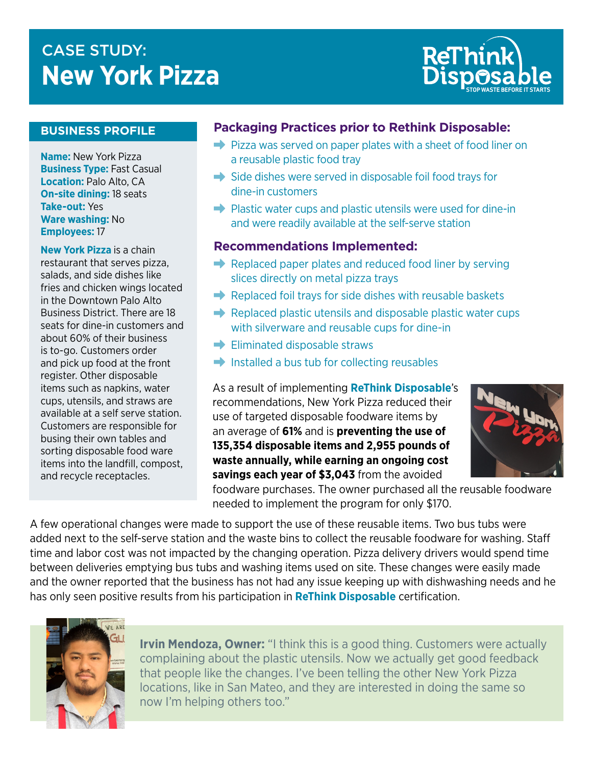# CASE STUDY:<br>NUMBER OF STREET WAS SERIES FOR STREET WAS SERIES FOR STREET WAS SERIES FOR STREET WAS SERIES FOR STREET WAS **New York Pizza**



#### **BUSINESS PROFILE**

**Name:** New York Pizza **Business Type:** Fast Casual **Location:** Palo Alto, CA **On-site dining:** 18 seats **Take-out:** Yes **Ware washing:** No **Employees:** 17

**New York Pizza** is a chain restaurant that serves pizza, salads, and side dishes like fries and chicken wings located in the Downtown Palo Alto Business District. There are 18 seats for dine-in customers and about 60% of their business is to-go. Customers order and pick up food at the front register. Other disposable items such as napkins, water cups, utensils, and straws are available at a self serve station. Customers are responsible for busing their own tables and sorting disposable food ware items into the landfill, compost, and recycle receptacles.

### **Packaging Practices prior to Rethink Disposable:**

- $\rightarrow$  Pizza was served on paper plates with a sheet of food liner on a reusable plastic food tray
- $\rightarrow$  Side dishes were served in disposable foil food trays for dine-in customers
- $\rightarrow$  Plastic water cups and plastic utensils were used for dine-in and were readily available at the self-serve station

#### **Recommendations Implemented:**

- $\rightarrow$  Replaced paper plates and reduced food liner by serving slices directly on metal pizza trays
- $\rightarrow$  Replaced foil trays for side dishes with reusable baskets
- $\rightarrow$  Replaced plastic utensils and disposable plastic water cups with silverware and reusable cups for dine-in
- $\rightarrow$  Eliminated disposable straws
- $\rightarrow$  Installed a bus tub for collecting reusables

As a result of implementing **ReThink Disposable**'s recommendations, New York Pizza reduced their use of targeted disposable foodware items by an average of **61%** and is **preventing the use of 135,354 disposable items and 2,955 pounds of waste annually, while earning an ongoing cost savings each year of \$3,043** from the avoided



foodware purchases. The owner purchased all the reusable foodware needed to implement the program for only \$170.

A few operational changes were made to support the use of these reusable items. Two bus tubs were added next to the self-serve station and the waste bins to collect the reusable foodware for washing. Staff time and labor cost was not impacted by the changing operation. Pizza delivery drivers would spend time between deliveries emptying bus tubs and washing items used on site. These changes were easily made and the owner reported that the business has not had any issue keeping up with dishwashing needs and he has only seen positive results from his participation in **ReThink Disposable** certification.



**Irvin Mendoza, Owner:** "I think this is a good thing. Customers were actually complaining about the plastic utensils. Now we actually get good feedback that people like the changes. I've been telling the other New York Pizza locations, like in San Mateo, and they are interested in doing the same so now I'm helping others too."